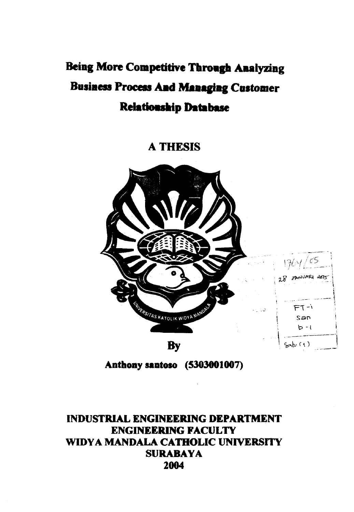# **Being More Competitive Through Analyzing Business Process And Managing Customer Relationship Database**

**A THESIS** 



**Anthony santoso** (5303001007)

# **INDUSTRIAL ENGINEERING DEPARTMENT ENGINEERING FACULTY WIDY A MANDALA CATHOLIC UNIVERSITY SURABAYA 2004**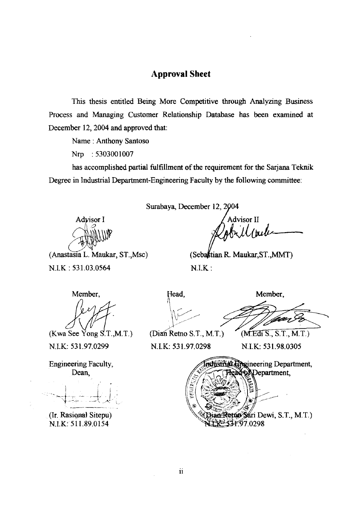### **Approval Sheet**

This thesis entitled Being More Competitive through Analyzing Business Process and Managing Customer Relationship Database has been examined at December 12, 2004 and approved that:

Name: Anthony Santoso

Nrp : 5303001007

has accomplished partial fulfillment of the requirement for the Satjana Teknik Degree in Industrial Department-Engineering Faculty by the following committee:

Surabaya, December 12, 2004

Advisor I :t.·~~:r:I A William

(Anastasia L. Maukar, ST., Msc)

Advisor II Billoute

(Sebastian R. Maukar, ST., MMT)  $N.I.K$ :

N.I.K: 531.03.0564

Member,

 $(Kwa$  See Yong S.T., M.T.)

N.I.K: 531.97.0299

Engineering Faculty, Dean,

(Ir. Rasional Sitepu) N.I.K:511.89.0154

Head, Member,  $f(x) = \frac{f(x) - f(x)}{f(x)}$ 

 $(Diam$  Retno S.T., M.T.)  $(MEdi S., S.T., M.T.)$ 

N.I.K: 531.97.0298 N.I.K: 531.98.0305

**Industrial Angineering Department,** atoNDepartment, ian Remo Sari Dewi, S.T., M.T.) 537.97.0298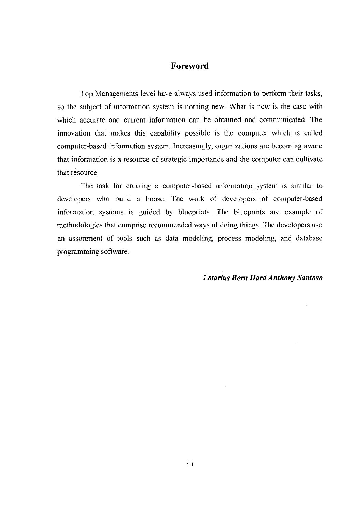### **Foreword**

Top Managements level have always used information to perform their tasks, so the subject of information system is nothing new. What is new is the ease with which accurate and current information can be obtained and communicated. The innovation that makes this capability possible is the computer which is called computer-based information system. Increasingly, organizations are becoming aware that information is a resource of strategic importance and the computer can cultivate that resource.

The task for creating a computer-based information system is similar to developers who build a house. The work of developers of computer-based information systems is guided by blueprints. The blueprints are example of methodologies that comprise recommended ways of doing things. The developers use an assortment of tools such as data modeling, process modeling, and database programming software.

#### $$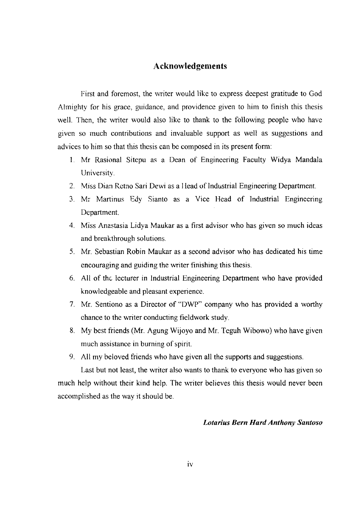#### **Acknowledgements**

First and foremost, the writer would like to express deepest gratitude to God Almighty for his grace, guidance, and providence given to him to finish this thesis well. Then, the writer would also like to thank to the following people who have given so much contributions and invaluable support as well as suggestions and advices to him so that this thesis can be composed in its present form:

- 1. Mr Rasional Sitepu as a Dean of Engineering Faculty Widya Mandala University.
- 2. Miss Dian Retno Sari Dewi as a Head of Industrial Engineering Department.
- 3. Mr Martinus Edv Sianto as a Vice Head of Industrial Engineering Department.
- 4. Miss Anastasia Lidya Maukar as a first advisor who has given so much ideas and breakthrough solutions.
- 5. Mr. Sebastian Robin Maukar as a second advisor who has dedicated his time encouraging and guiding the writer finishing this thesis.
- 6. All of the lecturer in Industrial Engineering Department who have provided knowledgeable and pleasant experience.
- 7. Mr. Sentiono as a Director of "DWP" company who has provided a worthy chance to the writer conducting fieldwork study.
- 8. My best friends (Mr. Agung Wijoyo and Mr. Teguh Wibowo) who have given much assistance in burning of spirit.
- 9. All my beloved friends who have given all the supports and suggestions.

Last but not least, the writer also wants to thank to everyone who has given so much help without their kind help. The writer believes this thesis would never been accomplished as the way it should be.

#### *Lotarius Bern Hard Anthony Santoso*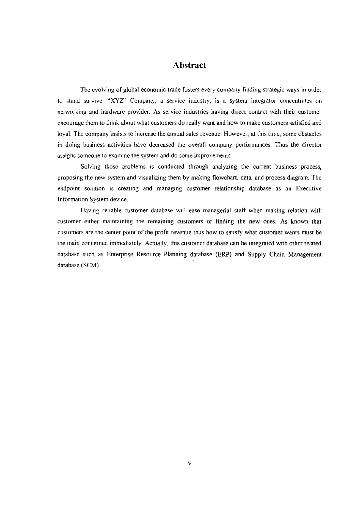#### **Abstract**

The evolving of global economic trade fosters every company finding strategic ways in order to stand survive. "XYZ" Company, a service industry, is a system integrator concentrates on networking and hardware provider. As service industries having direct contact with their customer encourage them to think about what customers do really want and how to make customers satisfied and loyaL The company insists to increase the annual sales revenue. However, at this time, some obstacles in doing business activities have decreased the overall company performances. Thus the director assigns someone to examine the system and do some improvements.

Solving those problems is conducted through analyzing the current business process, proposing the new system and visualizing them by making flowchart, data, and process diagram. The endpoint solution is creating and managing customer relationship database as an Executive Information System device.

Having reliable customer database will ease managerial staff when making relation with customer either maintaining the remaining customers or finding the new ones. As known that customers are the center point of the profit revenue thus how to satisfy what customer wants must be the main concerned immediately. Actually, this customer database can be integrated with other related database such as Enterprise Resource Planning database (ERP) and Supply Chain Management database (SCM).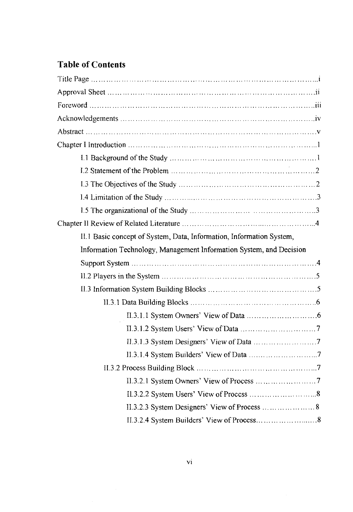## **Table of Contents**

| II.1 Basic concept of System, Data, Information, Information System, |
|----------------------------------------------------------------------|
| Information Technology, Management Information System, and Decision  |
|                                                                      |
|                                                                      |
|                                                                      |
|                                                                      |
|                                                                      |
|                                                                      |
|                                                                      |
|                                                                      |
|                                                                      |
|                                                                      |
|                                                                      |
|                                                                      |
|                                                                      |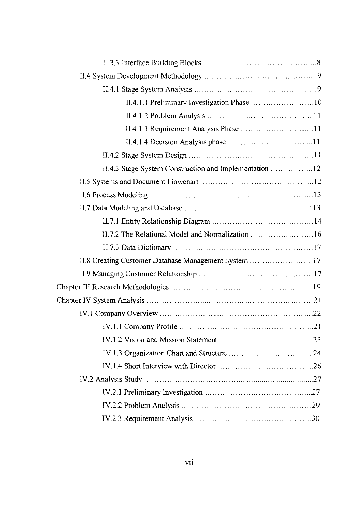| II.4.1.1 Preliminary Investigation Phase 10          |  |
|------------------------------------------------------|--|
|                                                      |  |
|                                                      |  |
|                                                      |  |
|                                                      |  |
|                                                      |  |
|                                                      |  |
|                                                      |  |
|                                                      |  |
|                                                      |  |
| II.7.2 The Relational Model and Normalization 16     |  |
|                                                      |  |
| II.8 Creating Customer Database Management System 17 |  |
|                                                      |  |
|                                                      |  |
|                                                      |  |
|                                                      |  |
|                                                      |  |
|                                                      |  |
|                                                      |  |
|                                                      |  |
|                                                      |  |
|                                                      |  |
|                                                      |  |
|                                                      |  |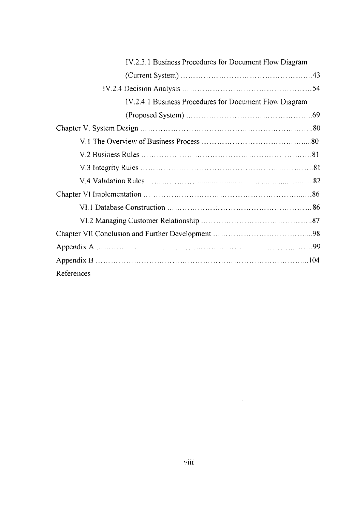| IV.2.3.1 Business Procedures for Document Flow Diagram |
|--------------------------------------------------------|
|                                                        |
|                                                        |
| IV.2.4.1 Business Procedures for Document Flow Diagram |
|                                                        |
|                                                        |
|                                                        |
|                                                        |
|                                                        |
|                                                        |
|                                                        |
|                                                        |
|                                                        |
|                                                        |
|                                                        |
|                                                        |
| References                                             |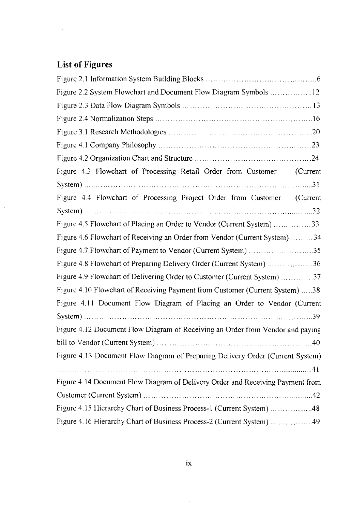# **List of Figures**

| Figure 2.2 System Flowchart and Document Flow Diagram Symbols 12               |  |
|--------------------------------------------------------------------------------|--|
|                                                                                |  |
|                                                                                |  |
|                                                                                |  |
|                                                                                |  |
|                                                                                |  |
| Figure 4.3 Flowchart of Processing Retail Order from Customer (Current         |  |
|                                                                                |  |
| Figure 4.4 Flowchart of Processing Project Order from Customer (Current        |  |
|                                                                                |  |
| Figure 4.5 Flowchart of Placing an Order to Vendor (Current System) 33         |  |
| Figure 4.6 Flowchart of Receiving an Order from Vendor (Current System) 34     |  |
| Figure 4.7 Flowchart of Payment to Vendor (Current System) 35                  |  |
| Figure 4.8 Flowchart of Preparing Delivery Order (Current System) 36           |  |
| Figure 4.9 Flowchart of Delivering Order to Customer (Current System) 37       |  |
| Figure 4.10 Flowchart of Receiving Payment from Customer (Current System) 38   |  |
| Figure 4.11 Document Flow Diagram of Placing an Order to Vendor (Current       |  |
|                                                                                |  |
| Figure 4.12 Document Flow Diagram of Receiving an Order from Vendor and paying |  |
|                                                                                |  |
| Figure 4.13 Document Flow Diagram of Preparing Delivery Order (Current System) |  |
|                                                                                |  |
| Figure 4.14 Document Flow Diagram of Delivery Order and Receiving Payment from |  |
|                                                                                |  |
| Figure 4.15 Hierarchy Chart of Business Process-1 (Current System) 48          |  |
| Figure 4.16 Hierarchy Chart of Business Process-2 (Current System) 49          |  |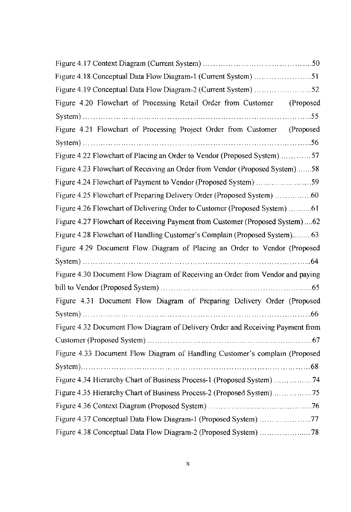| Figure 4.20 Flowchart of Processing Retail Order from Customer                 | (Proposed |
|--------------------------------------------------------------------------------|-----------|
|                                                                                |           |
| Figure 4.21 Flowchart of Processing Project Order from Customer (Proposed      |           |
|                                                                                |           |
| Figure 4.22 Flowchart of Placing an Order to Vendor (Proposed System) 57       |           |
| Figure 4.23 Flowchart of Receiving an Order from Vendor (Proposed System) 58   |           |
|                                                                                |           |
| Figure 4.25 Flowchart of Preparing Delivery Order (Proposed System) 60         |           |
|                                                                                |           |
| Figure 4.27 Flowchart of Receiving Payment from Customer (Proposed System)  62 |           |
| Figure 4.28 Flowchart of Handling Customer's Complain (Proposed System)63      |           |
| Figure 4.29 Document Flow Diagram of Placing an Order to Vendor (Proposed      |           |
|                                                                                |           |
| Figure 4.30 Document Flow Diagram of Receiving an Order from Vendor and paying |           |
|                                                                                |           |
| Figure 4.31 Document Flow Diagram of Preparing Delivery Order (Proposed        |           |
|                                                                                |           |
| Figure 4.32 Document Flow Diagram of Delivery Order and Receiving Payment from |           |
|                                                                                |           |
| Figure 4.33 Document Flow Diagram of Handling Customer's complain (Proposed    |           |
|                                                                                |           |
| Figure 4.34 Hierarchy Chart of Business Process-1 (Proposed System) 74         |           |
| Figure 4.35 Hierarchy Chart of Business Process-2 (Proposed System) 75         |           |
|                                                                                |           |
| Figure 4.37 Conceptual Data Flow Diagram-1 (Proposed System) 77                |           |
|                                                                                |           |

 $\bar{\mathcal{A}}$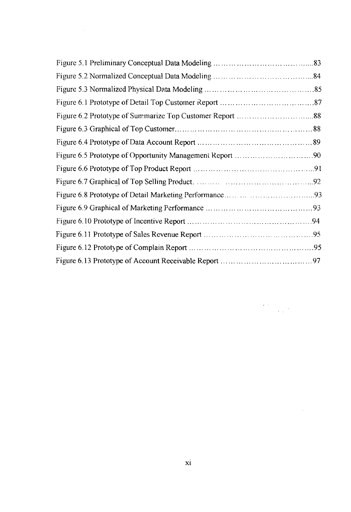$\label{eq:2.1} \frac{1}{\sqrt{2\pi}}\int_{0}^{\infty} \frac{1}{\sqrt{2\pi}}\left(\frac{1}{\sqrt{2\pi}}\right)^{2} \frac{1}{\sqrt{2\pi}}\int_{0}^{\infty} \frac{1}{\sqrt{2\pi}}\left(\frac{1}{\sqrt{2\pi}}\right)^{2} \frac{1}{\sqrt{2\pi}}\int_{0}^{\infty} \frac{1}{\sqrt{2\pi}}\frac{1}{\sqrt{2\pi}}\frac{1}{\sqrt{2\pi}}\frac{1}{\sqrt{2\pi}}\frac{1}{\sqrt{2\pi}}\frac{1}{\sqrt{2\pi}}\frac{1}{\sqrt{2$